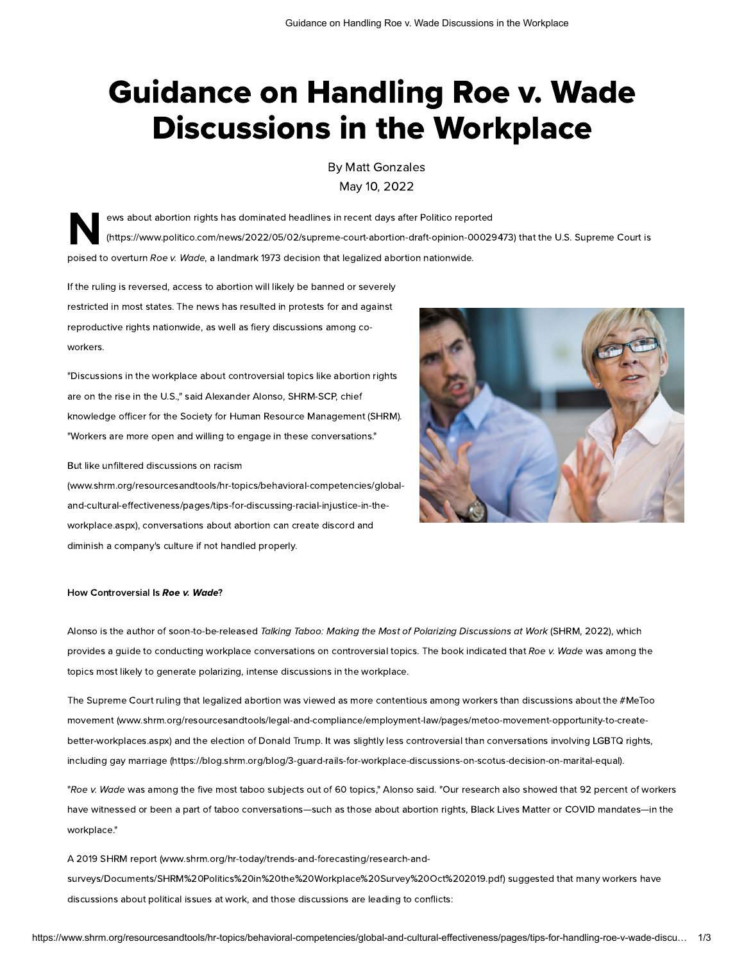# Guidance on Handling Roe v. Wade Discussions in the Workplace

By [Matt Gonzales](https://www.shrm.org/authors/Pages/matt-gonzales.aspx) May 10, 2022

N<sup>er</sup> ews about abortion rights has dominated headlines in recent days after Politico reported [\(https://www.politico.com/news/2022/05/02/supreme-court-abortion-draft-opinion-00029473\)](https://www.politico.com/news/2022/05/02/supreme-court-abortion-draft-opinion-00029473) that the U.S. Supreme Court is poised to overturn Roe v. Wade, a landmark 1973 decision that legalized abortion nationwide.

If the ruling is reversed, access to abortion will likely be banned or severely restricted in most states. The news has resulted in protests for and against reproductive rights nationwide, as well as fiery discussions among coworkers.

"Discussions in the workplace about controversial topics like abortion rights are on the rise in the U.S.," said Alexander Alonso, SHRM-SCP, chief knowledge officer for the Society for Human Resource Management (SHRM). "Workers are more open and willing to engage in these conversations."

### But like unfiltered discussions on racism

(www.shrm.org/resourcesandtools/hr-topics/behavioral-competencies/globaland-cultural-effectiveness/pages/tips-for-discussing-racial-injustice-in-the[workplace.aspx\), conversations about abortion can create discord and](https://www.shrm.org/resourcesandtools/hr-topics/behavioral-competencies/global-and-cultural-effectiveness/pages/tips-for-discussing-racial-injustice-in-the-workplace.aspx) diminish a company's culture if not handled properly.



## How Controversial Is Roe v. Wade?

Alonso is the author of soon-to-be-released Talking Taboo: Making the Most of Polarizing Discussions at Work (SHRM, 2022), which provides a guide to conducting workplace conversations on controversial topics. The book indicated that Roe v. Wade was among the topics most likely to generate polarizing, intense discussions in the workplace.

The Supreme Court ruling that legalized abortion was viewed as more contentious among workers than discussions about the #MeToo movement (www.shrm.org/resourcesandtools/legal-and-compliance/employment-law/pages/metoo-movement-opportunity-to-create[better-workplaces.aspx\) and the election of Donald Trump. It was slightly less controversial than conversations involving LGBTQ rights,](https://www.shrm.org/resourcesandtools/legal-and-compliance/employment-law/pages/metoo-movement-opportunity-to-create-better-workplaces.aspx) including [gay marriage \(https://blog.shrm.org/blog/3-guard-rails-for-workplace-discussions-on-scotus-decision-on-marital-equal\).](https://blog.shrm.org/blog/3-guard-rails-for-workplace-discussions-on-scotus-decision-on-marital-equal)

"Roe v. Wade was among the five most taboo subjects out of 60 topics," Alonso said. "Our research also showed that 92 percent of workers have witnessed or been a part of taboo conversations—such as those about abortion rights, Black Lives Matter or COVID mandates—in the workplace."

A 2019 SHRM report (www.shrm.org/hr-today/trends-and-forecasting/research-and[surveys/Documents/SHRM%20Politics%20in%20the%20Workplace%20Survey%20Oct%202019.pdf\)](https://www.shrm.org/hr-today/trends-and-forecasting/research-and-surveys/Documents/SHRM%20Politics%20in%20the%20Workplace%20Survey%20Oct%202019.pdf) suggested that many workers have discussions about political issues at work, and those discussions are leading to conflicts: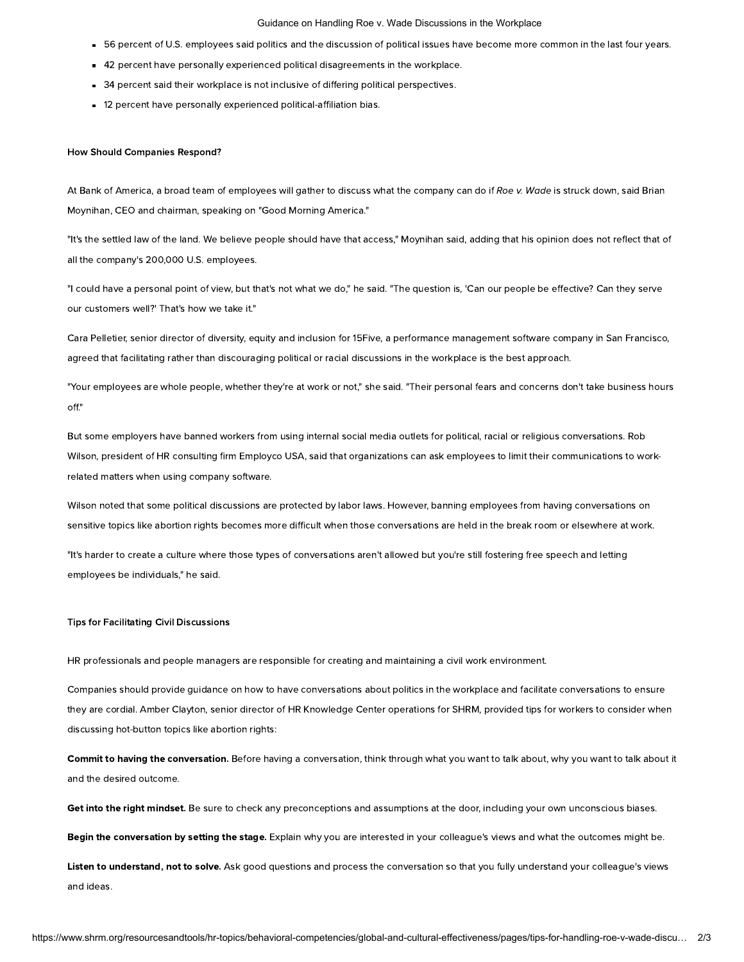#### Guidance on Handling Roe v. Wade Discussions in the Workplace

- 56 percent of U.S. employees said politics and the discussion of political issues have become more common in the last four years.
- 42 percent have personally experienced political disagreements in the workplace.
- 34 percent said their workplace is not inclusive of differing political perspectives.
- 12 percent have personally experienced political-affiliation bias.

## How Should Companies Respond?

At Bank of America, a broad team of employees will gather to discuss what the company can do if Roe v. Wade is struck down, said Brian Moynihan, CEO and chairman, speaking on "Good Morning America."

"It's the settled law of the land. We believe people should have that access," Moynihan said, adding that his opinion does not reflect that of all the company's 200,000 U.S. employees.

"I could have a personal point of view, but that's not what we do," he said. "The question is, 'Can our people be effective? Can they serve our customers well?' That's how we take it."

Cara Pelletier, senior director of diversity, equity and inclusion for 15Five, a performance management software company in San Francisco, agreed that facilitating rather than discouraging political or racial discussions in the workplace is the best approach.

"Your employees are whole people, whether they're at work or not," she said. "Their personal fears and concerns don't take business hours off."

But some employers have banned workers from using internal social media outlets for political, racial or religious conversations. Rob Wilson, president of HR consulting firm Employco USA, said that organizations can ask employees to limit their communications to workrelated matters when using company software.

Wilson noted that some political discussions are protected by labor laws. However, banning employees from having conversations on sensitive topics like abortion rights becomes more difficult when those conversations are held in the break room or elsewhere at work.

"It's harder to create a culture where those types of conversations aren't allowed but you're still fostering free speech and letting employees be individuals," he said.

## Tips for Facilitating Civil Discussions

HR professionals and people managers are responsible for creating and maintaining a civil work environment.

Companies should provide guidance on how to have conversations about politics in the workplace and facilitate conversations to ensure they are cordial. Amber Clayton, senior director of HR Knowledge Center operations for SHRM, provided tips for workers to consider when discussing hot-button topics like abortion rights:

Commit to having the conversation. Before having a conversation, think through what you want to talk about, why you want to talk about it and the desired outcome.

Get into the right mindset. Be sure to check any preconceptions and assumptions at the door, including your own unconscious biases.

Begin the conversation by setting the stage. Explain why you are interested in your colleague's views and what the outcomes might be.

Listen to understand, not to solve. Ask good questions and process the conversation so that you fully understand your colleague's views and ideas.